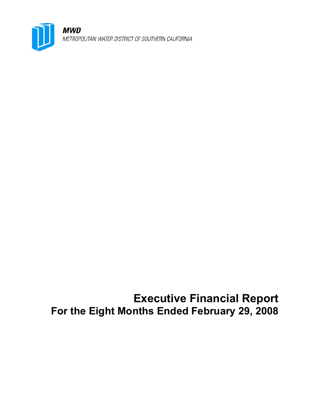

**MWD** METROPOLITAN WATER DISTRICT OF SOUTHERN CALIFORNIA

**Executive Financial Report For the Eight Months Ended February 29, 2008**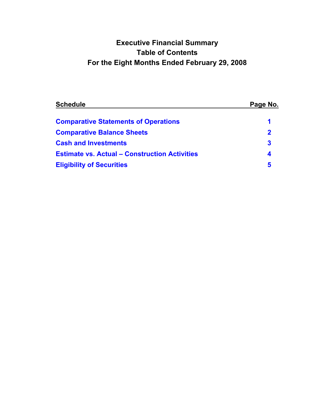# **Executive Financial Summary Table of Contents For the Eight Months Ended February 29, 2008**

| <b>Schedule</b>                                      | Page No. |
|------------------------------------------------------|----------|
| <b>Comparative Statements of Operations</b>          |          |
| <b>Comparative Balance Sheets</b>                    | 2        |
| <b>Cash and Investments</b>                          | 3        |
| <b>Estimate vs. Actual - Construction Activities</b> | 4        |
| <b>Eligibility of Securities</b>                     | 5        |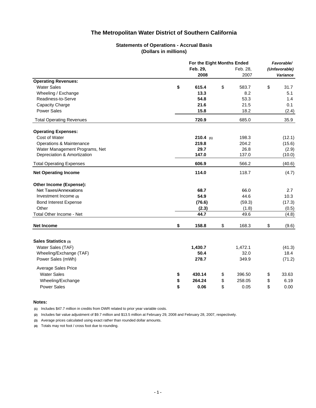#### **Statements of Operations - Accrual Basis (Dollars in millions)**

<span id="page-2-0"></span>

|                                     |    | For the Eight Months Ended |          |               |    |                 |  |
|-------------------------------------|----|----------------------------|----------|---------------|----|-----------------|--|
|                                     |    |                            | Feb. 28, | (Unfavorable) |    |                 |  |
|                                     |    | 2008                       |          | 2007          |    | <b>Variance</b> |  |
| <b>Operating Revenues:</b>          |    |                            |          |               |    |                 |  |
| <b>Water Sales</b>                  | \$ | 615.4                      | \$       | 583.7         | \$ | 31.7            |  |
| Wheeling / Exchange                 |    | 13.3                       |          | 8.2           |    | 5.1             |  |
| Readiness-to-Serve                  |    | 54.8                       |          | 53.3          |    | 1.4             |  |
| Capacity Charge                     |    | 21.6                       |          | 21.5          |    | 0.1             |  |
| <b>Power Sales</b>                  |    | 15.8                       |          | 18.2          |    | (2.4)           |  |
| <b>Total Operating Revenues</b>     |    | 720.9                      |          | 685.0         |    | 35.9            |  |
| <b>Operating Expenses:</b>          |    |                            |          |               |    |                 |  |
| Cost of Water                       |    | $210.4$ (1)                |          | 198.3         |    | (12.1)          |  |
| <b>Operations &amp; Maintenance</b> |    | 219.8                      |          | 204.2         |    | (15.6)          |  |
| Water Management Programs, Net      |    | 29.7                       |          | 26.8          |    | (2.9)           |  |
| Depreciation & Amortization         |    | 147.0                      |          | 137.0         |    | (10.0)          |  |
| <b>Total Operating Expenses</b>     |    | 606.9                      |          | 566.2         |    | (40.6)          |  |
| <b>Net Operating Income</b>         |    | 114.0                      |          | 118.7         |    | (4.7)           |  |
| Other Income (Expense):             |    |                            |          |               |    |                 |  |
| <b>Net Taxes/Annexations</b>        |    | 68.7                       |          | 66.0          |    | 2.7             |  |
| Investment Income (2)               |    | 54.9                       |          | 44.6          |    | 10.3            |  |
| <b>Bond Interest Expense</b>        |    | (76.6)                     |          | (59.3)        |    | (17.3)          |  |
| Other                               |    | (2.3)                      |          | (1.8)         |    | (0.5)           |  |
| Total Other Income - Net            |    | 44.7                       |          | 49.6          |    | (4.8)           |  |
| Net Income                          | \$ | 158.8                      | \$       | 168.3         | \$ | (9.6)           |  |
|                                     |    |                            |          |               |    |                 |  |
| Sales Statistics (3)                |    |                            |          |               |    |                 |  |
| Water Sales (TAF)                   |    | 1,430.7                    |          | 1,472.1       |    | (41.3)          |  |
| Wheeling/Exchange (TAF)             |    | 50.4                       |          | 32.0          |    | 18.4            |  |
| Power Sales (mWh)                   |    | 278.7                      |          | 349.9         |    | (71.2)          |  |
| Average Sales Price                 |    |                            |          |               |    |                 |  |
| <b>Water Sales</b>                  | \$ | 430.14                     | \$       | 396.50        | \$ | 33.63           |  |
| Wheeling/Exchange                   | \$ | 264.24                     | \$       | 258.05        | \$ | 6.19            |  |
| <b>Power Sales</b>                  | \$ | 0.06                       | \$       | 0.05          | \$ | 0.00            |  |

#### **Notes:**

**(1)** Includes \$47.7 million in credits from DWR related to prior year variable costs.

**(2)** Includes fair value adjustment of \$9.7 million and \$13.5 million at February 29, 2008 and February 28, 2007, respectively.

**(3)** Average prices calculated using exact rather than rounded dollar amounts.

**(4)** Totals may not foot / cross foot due to rounding.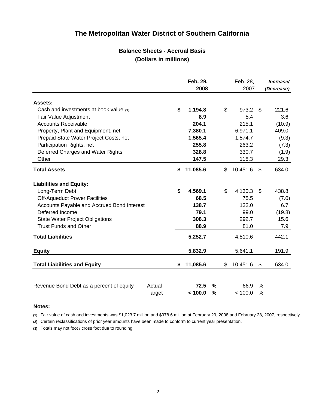## **Balance Sheets - Accrual Basis (Dollars in millions)**

<span id="page-3-0"></span>

|                                            |        | Feb. 29,<br>2008 |               | Feb. 28,<br>2007 |    | Increase/<br>(Decrease) |
|--------------------------------------------|--------|------------------|---------------|------------------|----|-------------------------|
| Assets:                                    |        |                  |               |                  |    |                         |
| Cash and investments at book value (1)     |        | \$<br>1,194.8    |               | \$<br>973.2      | \$ | 221.6                   |
| Fair Value Adjustment                      |        | 8.9              |               | 5.4              |    | 3.6                     |
| <b>Accounts Receivable</b>                 |        | 204.1            |               | 215.1            |    | (10.9)                  |
| Property, Plant and Equipment, net         |        | 7,380.1          |               | 6,971.1          |    | 409.0                   |
| Prepaid State Water Project Costs, net     |        | 1,565.4          |               | 1,574.7          |    | (9.3)                   |
| Participation Rights, net                  |        | 255.8            |               | 263.2            |    | (7.3)                   |
| Deferred Charges and Water Rights          |        | 328.8            |               | 330.7            |    | (1.9)                   |
| Other                                      |        | 147.5            |               | 118.3            |    | 29.3                    |
| <b>Total Assets</b>                        |        | \$<br>11,085.6   |               | \$<br>10,451.6   | \$ | 634.0                   |
| <b>Liabilities and Equity:</b>             |        |                  |               |                  |    |                         |
| Long-Term Debt                             |        | \$<br>4,569.1    |               | \$<br>4,130.3    | \$ | 438.8                   |
| <b>Off-Aqueduct Power Facilities</b>       |        | 68.5             |               | 75.5             |    | (7.0)                   |
| Accounts Payable and Accrued Bond Interest |        | 138.7            |               | 132.0            |    | 6.7                     |
| Deferred Income                            |        | 79.1             |               | 99.0             |    | (19.8)                  |
| <b>State Water Project Obligations</b>     |        | 308.3            |               | 292.7            |    | 15.6                    |
| <b>Trust Funds and Other</b>               |        | 88.9             |               | 81.0             |    | 7.9                     |
| <b>Total Liabilities</b>                   |        | 5,252.7          |               | 4,810.6          |    | 442.1                   |
| <b>Equity</b>                              |        | 5,832.9          |               | 5,641.1          |    | 191.9                   |
| <b>Total Liabilities and Equity</b>        |        | \$<br>11,085.6   |               | \$<br>10,451.6   | \$ | 634.0                   |
|                                            |        |                  |               |                  |    |                         |
| Revenue Bond Debt as a percent of equity   | Actual | 72.5             | $\frac{0}{0}$ | 66.9             | %  |                         |
|                                            | Target | < 100.0          | %             | < 100.0          | %  |                         |

#### **Notes:**

**(1)** Fair value of cash and investments was \$1,023.7 million and \$978.6 million at February 29, 2008 and February 28, 2007, respectively.

**(2)** Certain reclassifications of prior year amounts have been made to conform to current year presentation.

**(3)** Totals may not foot / cross foot due to rounding.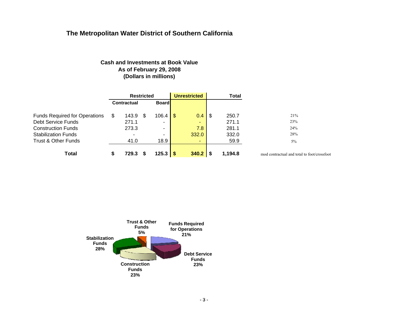### **Cash and Investments at Book ValueAs of February 29, 2008 (Dollars in millions)**

<span id="page-4-0"></span>

|                                      |   | <b>Restricted</b>  |     |              | <b>Unrestricted</b><br><b>Total</b> |               |      |         |                                             |
|--------------------------------------|---|--------------------|-----|--------------|-------------------------------------|---------------|------|---------|---------------------------------------------|
|                                      |   | <b>Contractual</b> |     | <b>Board</b> |                                     |               |      |         |                                             |
| <b>Funds Required for Operations</b> | S | 143.9              | -SS | $106.4$   \$ |                                     | $0.4^{\circ}$ | - 36 | 250.7   | 21%                                         |
| Debt Service Funds                   |   | 271.1              |     | -            |                                     | ۰.            |      | 271.1   | 23%                                         |
| <b>Construction Funds</b>            |   | 273.3              |     | -            |                                     | 7.8           |      | 281.1   | 24%                                         |
| <b>Stabilization Funds</b>           |   | -                  |     |              |                                     | 332.0         |      | 332.0   | 28%                                         |
| Trust & Other Funds                  |   | 41.0               |     | 18.9         |                                     |               |      | 59.9    | 5%                                          |
| Total                                | S | 729.3              |     | $125.3$ \$   |                                     | $340.2$ \$    |      | 1,194.8 | mod contractual and total to foot/crossfoot |

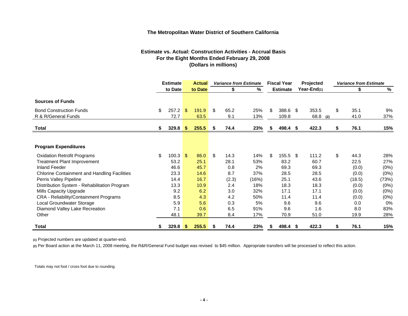#### **Estimate vs. Actual: Construction Activities - Accrual Basis For the Eight Months Ended February 29, 2008 (Dollars in millions)**

<span id="page-5-0"></span>

|                                                       | <b>Estimate</b> |               | <b>Actual</b>  |               | <b>Variance from Estimate</b> |             |            | <b>Fiscal Year</b> |                   | Projected     |     | <b>Variance from Estimate</b> |              |           |  |
|-------------------------------------------------------|-----------------|---------------|----------------|---------------|-------------------------------|-------------|------------|--------------------|-------------------|---------------|-----|-------------------------------|--------------|-----------|--|
|                                                       |                 | to Date       |                | to Date       |                               | \$          | %          |                    | <b>Estimate</b>   | Year-End(1)   |     |                               | \$           | %         |  |
| <b>Sources of Funds</b>                               |                 |               |                |               |                               |             |            |                    |                   |               |     |                               |              |           |  |
| <b>Bond Construction Funds</b><br>R & R/General Funds | \$              | 257.2<br>72.7 | $\mathfrak{S}$ | 191.9<br>63.5 | \$                            | 65.2<br>9.1 | 25%<br>13% | S                  | 388.6 \$<br>109.8 | 353.5<br>68.8 | (2) | \$                            | 35.1<br>41.0 | 9%<br>37% |  |
| Total                                                 | \$              | $329.8$ \$    |                | 255.5         | \$                            | 74.4        | 23%        | S                  | 498.4 \$          | 422.3         |     | S                             | 76.1         | 15%       |  |
|                                                       |                 |               |                |               |                               |             |            |                    |                   |               |     |                               |              |           |  |
| <b>Program Expenditures</b>                           |                 |               |                |               |                               |             |            |                    |                   |               |     |                               |              |           |  |
| <b>Oxidation Retrofit Programs</b>                    | \$              | 100.3         | - \$           | 86.0          | \$                            | 14.3        | 14%        | \$                 | 155.5 \$          | 111.2         |     | \$                            | 44.3         | 28%       |  |
| Treatment Plant Improvement                           |                 | 53.2          |                | 25.1          |                               | 28.1        | 53%        |                    | 83.2              | 60.7          |     |                               | 22.5         | 27%       |  |
| <b>Inland Feeder</b>                                  |                 | 46.6          |                | 45.7          |                               | 0.8         | 2%         |                    | 69.3              | 69.3          |     |                               | (0.0)        | $(0\%)$   |  |
| <b>Chlorine Containment and Handling Facilities</b>   |                 | 23.3          |                | 14.6          |                               | 8.7         | 37%        |                    | 28.5              | 28.5          |     |                               | (0.0)        | (0%)      |  |
| Perris Valley Pipeline                                |                 | 14.4          |                | 16.7          |                               | (2.3)       | (16%)      |                    | 25.1              | 43.6          |     |                               | (18.5)       | (73%)     |  |
| Distribution System - Rehabilitation Program          |                 | 13.3          |                | 10.9          |                               | 2.4         | 18%        |                    | 18.3              | 18.3          |     |                               | (0.0)        | (0%)      |  |
| Mills Capacity Upgrade                                |                 | 9.2           |                | 6.2           |                               | 3.0         | 32%        |                    | 17.1              | 17.1          |     |                               | (0.0)        | (0%)      |  |
| CRA - Reliability/Containment Programs                |                 | 8.5           |                | 4.3           |                               | 4.2         | 50%        |                    | 11.4              | 11.4          |     |                               | (0.0)        | (0%)      |  |
| Local Groundwater Storage                             |                 | 5.9           |                | 5.6           |                               | 0.3         | 5%         |                    | 9.6               | 9.6           |     |                               | 0.0          | $0\%$     |  |
| Diamond Valley Lake Recreation                        |                 | 7.1           |                | 0.6           |                               | 6.5         | 91%        |                    | 9.6               | 1.6           |     |                               | 8.0          | 83%       |  |
| Other                                                 |                 | 48.1          |                | 39.7          |                               | 8.4         | 17%        |                    | 70.9              | 51.0          |     |                               | 19.9         | 28%       |  |
| Total                                                 |                 | 329.8         | -5             | 255.5         | S                             | 74.4        | 23%        |                    | 498.4 \$          | 422.3         |     |                               | 76.1         | 15%       |  |

**(1)** Projected numbers are updated at quarter-end.

**(2)** Per Board action at the March 11, 2008 meeting, the R&R/General Fund budget was revised to \$45 million. Appropriate transfers will be processed to reflect this action.

Totals may not foot / cross foot due to rounding.